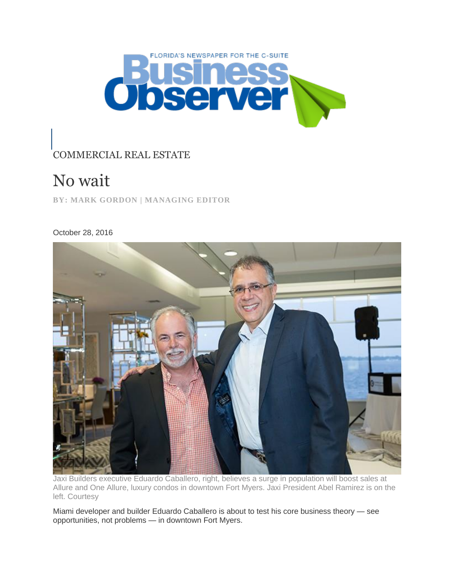

## COMMERCIAL REAL ESTATE

## No wait

**BY: MARK GORDON | MANAGING EDITOR**

October 28, 2016



Jaxi Builders executive Eduardo Caballero, right, believes a surge in population will boost sales at Allure and One Allure, luxury condos in downtown Fort Myers. Jaxi President Abel Ramirez is on the left. Courtesy

Miami developer and builder Eduardo Caballero is about to test his core business theory — see opportunities, not problems — in downtown Fort Myers.